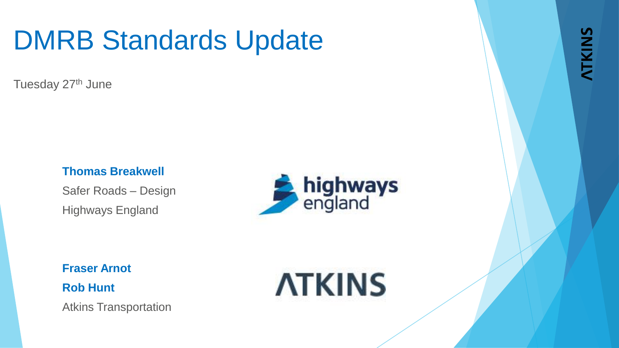## DMRB Standards Update

Tuesday 27<sup>th</sup> June

#### **Thomas Breakwell**

Safer Roads – Design Highways England



**Fraser Arnot Rob Hunt**

Atkins Transportation

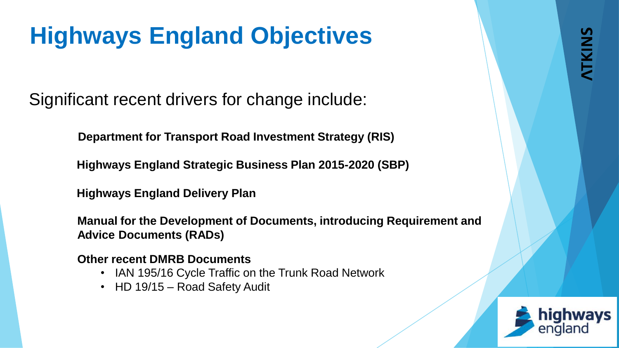## **Highways England Objectives**

Significant recent drivers for change include:

**Department for Transport Road Investment Strategy (RIS)**

**Highways England Strategic Business Plan 2015-2020 (SBP)**

**Highways England Delivery Plan**

**Manual for the Development of Documents, introducing Requirement and Advice Documents (RADs)**

**Other recent DMRB Documents**

- IAN 195/16 Cycle Traffic on the Trunk Road Network
- HD 19/15 Road Safety Audit

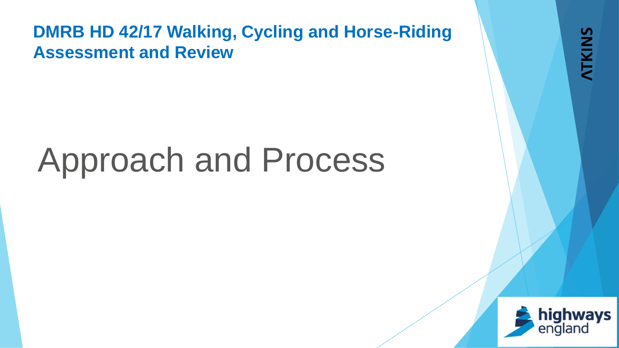# Approach and Process

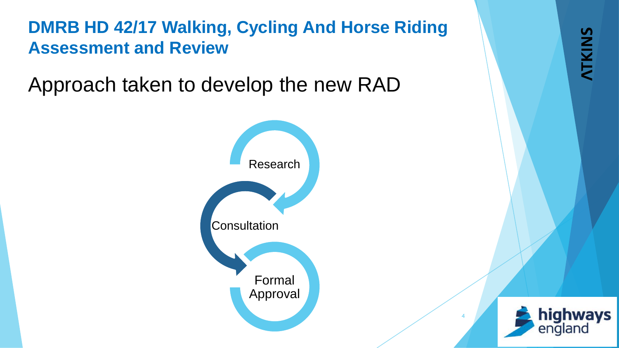Approach taken to develop the new RAD





**ATKINS**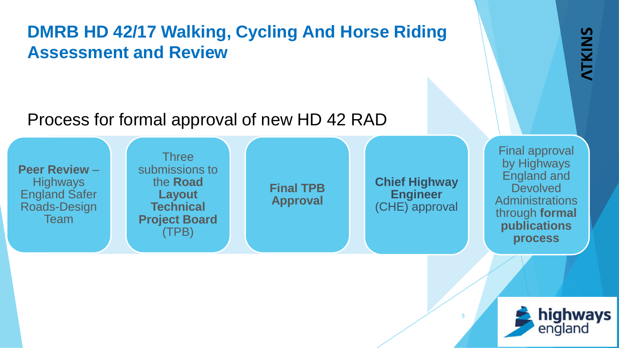#### Process for formal approval of new HD 42 RAD

**Peer Review** – **Highways** England Safer Roads-Design Team **Three** submissions to the **Road Layout Technical Project Board** (TPB) **Final TPB Approval Chief Highway Engineer**  (CHE) approval Final approval by Highways England and **Devolved Administrations** through **formal publications process**



**ATKINS**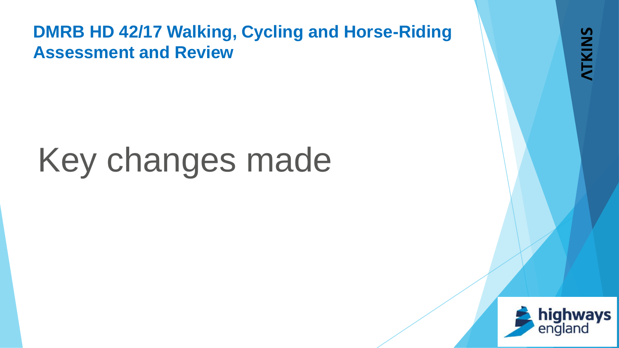# Key changes made

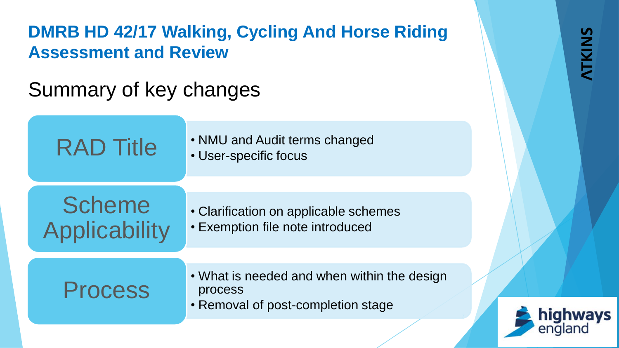### Summary of key changes

| <b>RAD Title</b>                      | • NMU and Audit terms changed<br>• User-specific focus                                       |  |
|---------------------------------------|----------------------------------------------------------------------------------------------|--|
| <b>Scheme</b><br><b>Applicability</b> | • Clarification on applicable schemes<br>• Exemption file note introduced                    |  |
| <b>Process</b>                        | • What is needed and when within the design<br>process<br>• Removal of post-completion stage |  |

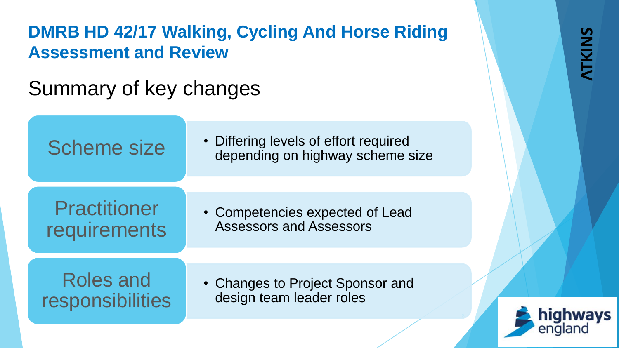### Summary of key changes

| <b>Scheme size</b>                   | • Differing levels of effort required<br>depending on highway scheme size |  |
|--------------------------------------|---------------------------------------------------------------------------|--|
|                                      |                                                                           |  |
| <b>Practitioner</b><br>requirements  | • Competencies expected of Lead<br><b>Assessors and Assessors</b>         |  |
|                                      |                                                                           |  |
| <b>Roles and</b><br>responsibilities | • Changes to Project Sponsor and<br>design team leader roles              |  |
|                                      |                                                                           |  |

highways

england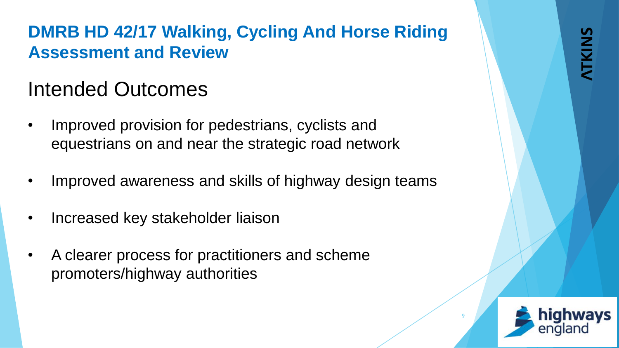### Intended Outcomes

- Improved provision for pedestrians, cyclists and equestrians on and near the strategic road network
- Improved awareness and skills of highway design teams
- Increased key stakeholder liaison
- A clearer process for practitioners and scheme promoters/highway authorities

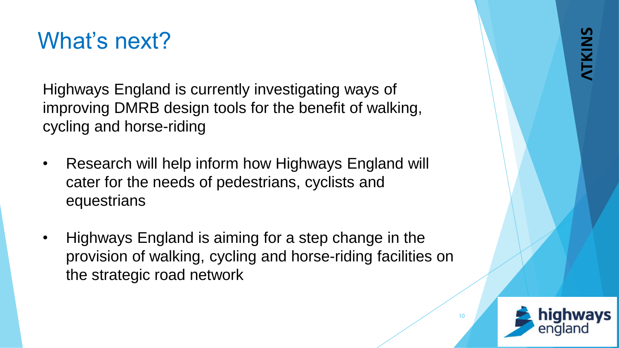## What's next?

Highways England is currently investigating ways of improving DMRB design tools for the benefit of walking, cycling and horse-riding

- Research will help inform how Highways England will cater for the needs of pedestrians, cyclists and equestrians
- Highways England is aiming for a step change in the provision of walking, cycling and horse-riding facilities on the strategic road network

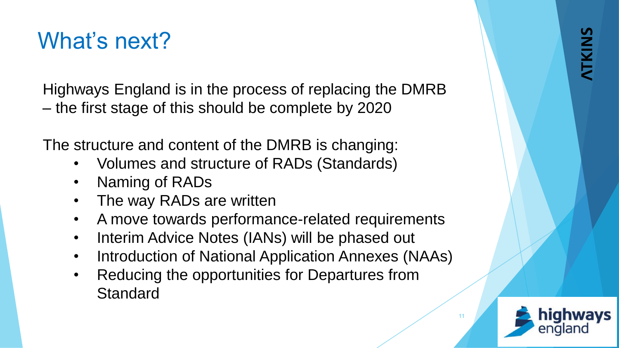## What's next?

Highways England is in the process of replacing the DMRB – the first stage of this should be complete by 2020

The structure and content of the DMRB is changing:

- Volumes and structure of RADs (Standards)
- Naming of RADs
- The way RADs are written
- A move towards performance-related requirements
- Interim Advice Notes (IANs) will be phased out
- Introduction of National Application Annexes (NAAs)
- Reducing the opportunities for Departures from **Standard**